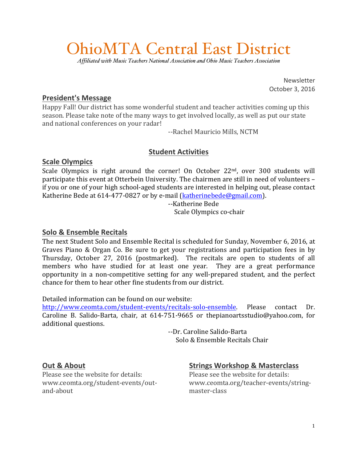# OhioMTA Central East District

*Affiliated with Music Teachers National Association and Ohio Music Teachers Association*

Newsletter October 3, 2016

#### **President's Message**

Happy Fall! Our district has some wonderful student and teacher activities coming up this season. Please take note of the many ways to get involved locally, as well as put our state and national conferences on your radar!

--Rachel Mauricio Mills, NCTM

### **Student Activities**

#### **Scale Olympics**

Scale Olympics is right around the corner! On October  $22<sup>nd</sup>$ , over 300 students will participate this event at Otterbein University. The chairmen are still in need of volunteers if you or one of your high school-aged students are interested in helping out, please contact Katherine Bede at 614-477-0827 or by e-mail (katherinebede@gmail.com).

> --Katherine Bede Scale Olympics co-chair

## **Solo & Ensemble Recitals**

The next Student Solo and Ensemble Recital is scheduled for Sunday, November 6, 2016, at Graves Piano & Organ Co. Be sure to get your registrations and participation fees in by Thursday, October 27, 2016 (postmarked). The recitals are open to students of all members who have studied for at least one year. They are a great performance opportunity in a non-competitive setting for any well-prepared student, and the perfect chance for them to hear other fine students from our district.

Detailed information can be found on our website:

http://www.ceomta.com/student-events/recitals-solo-ensemble. Please contact Dr. Caroline B. Salido-Barta, chair, at  $614-751-9665$  or thepianoartsstudio@yahoo.com, for additional questions.

> --Dr. Caroline Salido-Barta Solo & Ensemble Recitals Chair

#### **Out & About**

Please see the website for details: www.ceomta.org/student-events/outand-about

# **Strings Workshop & Masterclass**

Please see the website for details: www.ceomta.org/teacher-events/stringmaster-class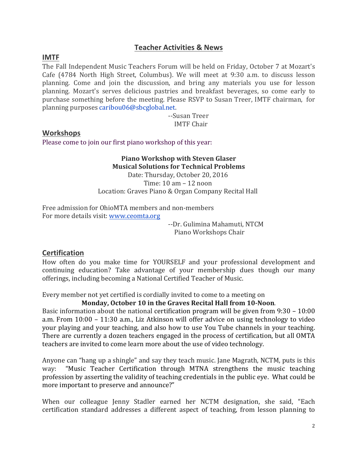#### **Teacher Activities & News**

#### **IMTF**

The Fall Independent Music Teachers Forum will be held on Friday, October 7 at Mozart's Cafe (4784 North High Street, Columbus). We will meet at 9:30 a.m. to discuss lesson planning. Come and join the discussion, and bring any materials you use for lesson planning. Mozart's serves delicious pastries and breakfast beverages, so come early to purchase something before the meeting. Please RSVP to Susan Treer, IMTF chairman, for planning purposes caribou06@sbcglobal.net.

> --Susan Treer IMTF Chair

#### **Workshops**

Please come to join our first piano workshop of this year:

#### **Piano Workshop with Steven Glaser Musical Solutions for Technical Problems** Date: Thursday, October 20, 2016 Time:  $10 \text{ am} - 12 \text{ noon}$ Location: Graves Piano & Organ Company Recital Hall

Free admission for OhioMTA members and non-members For more details visit: www.ceomta.org

> --Dr. Gulimina Mahamuti, NTCM Piano Workshops Chair

#### **Certification**

How often do you make time for YOURSELF and your professional development and continuing education? Take advantage of your membership dues though our many offerings, including becoming a National Certified Teacher of Music.

Every member not yet certified is cordially invited to come to a meeting on

#### Monday, October 10 in the Graves Recital Hall from 10-Noon.

Basic information about the national certification program will be given from  $9:30 - 10:00$ a.m. From  $10:00 - 11:30$  a.m., Liz Atkinson will offer advice on using technology to video your playing and your teaching, and also how to use You Tube channels in your teaching. There are currently a dozen teachers engaged in the process of certification, but all OMTA teachers are invited to come learn more about the use of video technology.

Anyone can "hang up a shingle" and say they teach music. Jane Magrath, NCTM, puts is this way: "Music Teacher Certification through MTNA strengthens the music teaching profession by asserting the validity of teaching credentials in the public eye. What could be more important to preserve and announce?"

When our colleague Jenny Stadler earned her NCTM designation, she said, "Each certification standard addresses a different aspect of teaching, from lesson planning to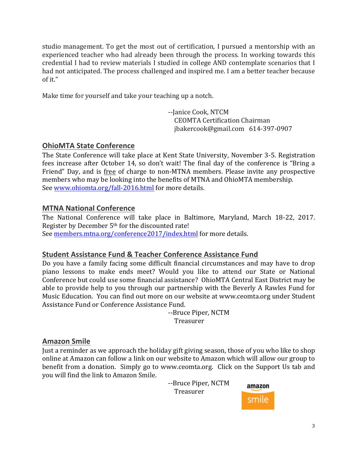studio management. To get the most out of certification, I pursued a mentorship with an experienced teacher who had already been through the process. In working towards this credential I had to review materials I studied in college AND contemplate scenarios that I had not anticipated. The process challenged and inspired me. I am a better teacher because of it."

Make time for yourself and take your teaching up a notch.

--Janice Cook, NTCM CEOMTA Certification Chairman jbakercook@gmail.com 614-397-0907

### **OhioMTA State Conference**

The State Conference will take place at Kent State University, November 3-5. Registration fees increase after October 14, so don't wait! The final day of the conference is "Bring a Friend" Day, and is free of charge to non-MTNA members. Please invite any prospective members who may be looking into the benefits of MTNA and OhioMTA membership. See www.ohiomta.org/fall-2016.html for more details.

### **MTNA National Conference**

The National Conference will take place in Baltimore, Maryland, March 18-22, 2017. Register by December  $5<sup>th</sup>$  for the discounted rate!

See members.mtna.org/conference2017/index.html for more details.

#### **Student Assistance Fund & Teacher Conference Assistance Fund**

Do you have a family facing some difficult financial circumstances and may have to drop piano lessons to make ends meet? Would you like to attend our State or National Conference but could use some financial assistance? OhioMTA Central East District may be able to provide help to you through our partnership with the Beverly A Rawles Fund for Music Education. You can find out more on our website at www.ceomta.org under Student Assistance Fund or Conference Assistance Fund.

> --Bruce Piper, NCTM Treasurer

# **Amazon Smile**

Just a reminder as we approach the holiday gift giving season, those of you who like to shop online at Amazon can follow a link on our website to Amazon which will allow our group to benefit from a donation. Simply go to www.ceomta.org. Click on the Support Us tab and you will find the link to Amazon Smile.

> --Bruce Piper, NCTM Treasurer